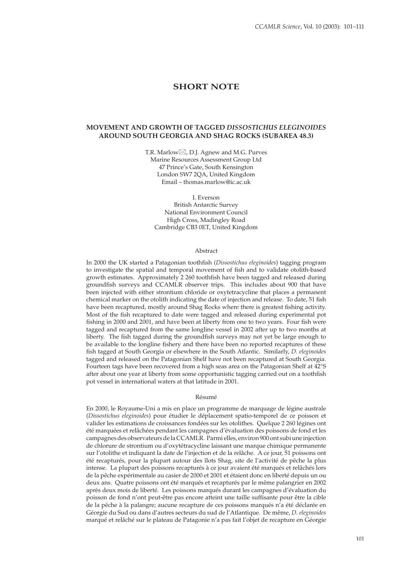# **SHORT NOTE**

## **MOVEMENT AND GROWTH OF TAGGED** *DISSOSTICHUS ELEGINOIDES* **AROUND SOUTH GEORGIA AND SHAG ROCKS (SUBAREA 48.3)**

T.R. Marlow $\boxtimes$ , D.J. Agnew and M.G. Purves Marine Resources Assessment Group Ltd 47 Prince's Gate, South Kensington London SW7 2QA, United Kingdom Email – thomas.marlow@ic.ac.uk

I. Everson British Antarctic Survey National Environment Council High Cross, Madingley Road Cambridge CB3 0ET, United Kingdom

#### Abstract

In 2000 the UK started a Patagonian toothfish (*Dissostichus eleginoides*) tagging program to investigate the spatial and temporal movement of fish and to validate otolith-based growth estimates. Approximately  $2\,260$  toothfish have been tagged and released during groundfish surveys and CCAMLR observer trips. This includes about 900 that have been injected with either strontium chloride or oxytetracycline that places a permanent chemical marker on the otolith indicating the date of injection and release. To date, 51 fish have been recaptured, mostly around Shag Rocks where there is greatest fishing activity. Most of the fish recaptured to date were tagged and released during experimental pot fishing in 2000 and 2001, and have been at liberty from one to two years. Four fish were tagged and recaptured from the same longline vessel in 2002 after up to two months at liberty. The fish tagged during the groundfish surveys may not yet be large enough to be available to the longline fishery and there have been no reported recaptures of these fish tagged at South Georgia or elsewhere in the South Atlantic. Similarly, *D. eleginoides* tagged and released on the Patagonian Shelf have not been recaptured at South Georgia. Fourteen tags have been recovered from a high seas area on the Patagonian Shelf at 42°S after about one year at liberty from some opportunistic tagging carried out on a toothfish pot vessel in international waters at that latitude in 2001.

#### Résumé

En 2000, le Royaume-Uni a mis en place un programme de marquage de légine australe (*Dissostichus eleginoides*) pour étudier le déplacement spatio-temporel de ce poisson et valider les estimations de croissances fondées sur les otolithes. Quelque 2 260 légines ont été marquées et relâchées pendant les campagnes d'évaluation des poissons de fond et les campagnes des observateurs de la CCAMLR. Parmi elles, environ 900 ont subi une injection de chlorure de strontium ou d'oxytétracycline laissant une marque chimique permanente sur l'otolithe et indiquant la date de l'injection et de la relâche. A ce jour, 51 poissons ont été recapturés, pour la plupart autour des îlots Shag, site de l'activité de pêche la plus intense. La plupart des poissons recapturés à ce jour avaient été marqués et relâchés lors de la pêche expérimentale au casier de 2000 et 2001 et étaient donc en liberté depuis un ou deux ans. Quatre poissons ont été marqués et recapturés par le même palangrier en 2002 après deux mois de liberté. Les poissons marqués durant les campagnes d'évaluation du poisson de fond n'ont peut-être pas encore atteint une taille suffisante pour être la cible de la pêche à la palangre; aucune recapture de ces poissons marqués n'a été déclarée en Géorgie du Sud ou dans d'autres secteurs du sud de l'Atlantique. De même, *D. eleginoides* marqué et relâché sur le plateau de Patagonie n'a pas fait l'objet de recapture en Géorgie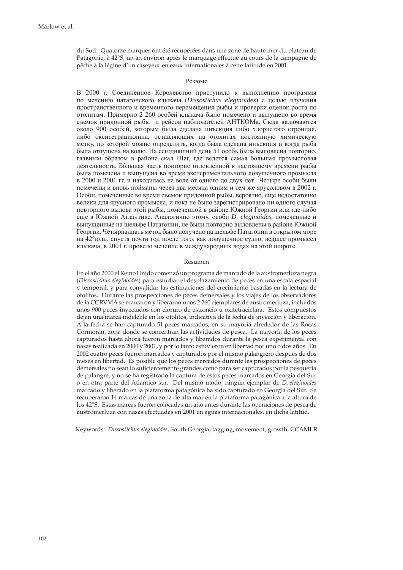du Sud. Quatorze marques ont été récupérées dans une zone de haute mer du plateau de Patagonie, à 42°S, un an environ après le marquage effectué au cours de la campagne de pêche à la légine d'un caseyeur en eaux internationales à cette latitude en 2001.

#### Резюме

В 2000 г. Соединенное Королевство приступило к выполнению программы по мечению патагонского клыкача (*Dissostichus eleginoides*) с целью изучения пространственного и временного перемещения рыбы и проверки оценок роста по отолитам. Примерно 2 260 особей клыкача было помечено и выпущено во время съемок придонной рыбы и рейсов наблюдателей АНТКОМа. Сюда включаются около 900 особей, которым была сделана инъекция либо хлористого стронция, либо окситетрациклина, оставляющих на отолитах постоянную химическую метку, по которой можно определить, когда была сделана инъекция и когда рыба была отпущена на волю. На сегодняшний день 51 особь была выловлена повторно, главным образом в районе скал Шаг, где ведется самая большая промысловая деятельность. Бóльшая часть повторно отловленной к настоящему времени рыбы была помечена и выпущена во время экспериментального ловушечного промысла в 2000 и 2001 гг. и находилась на воле от одного до двух лет. Четыре особи были помечены и вновь пойманы через два месяца одним и тем же ярусоловом в 2002 г. Особи, помеченные во время съемок придонной рыбы, вероятно, еще недостаточно велики для ярусного промысла, и пока не было зарегистрировано ни одного случая повторного вылова этой рыбы, помеченной в районе Южной Георгии или где-либо еще в Южной Атлантике. Аналогично этому, особи *D. eleginoides,* помеченные и выпущенные на шельфе Патагонии, не были повторно выловлены в районе Южной Георгии. Четырнадцать меток было получено на шельфе Патагонии в открытом море на 42°ю.ш. спустя почти год после того, как ловушечное судно, ведшее промысел клыкача, в 2001 г. провело мечение в международных водах на этой широте.

#### Resumen

En el año 2000 el Reino Unido comenzó un programa de marcado de la austromerluza negra (*Dissostichus eleginoides*) para estudiar el desplazamiento de peces en una escala espacial y temporal, y para convalidar las estimaciones del crecimiento basadas en la lectura de otolitos. Durante las prospecciones de peces demersales y los viajes de los observadores de la CCRVMA se marcaron y liberaron unos 2 260 ejemplares de austromerluza, incluidos unos 900 peces inyectados con cloruro de estroncio u oxitetraciclina. Estos compuestos dejan una marca indeleble en los otolitos, indicativa de la fecha de inyección y liberación. A la fecha se han capturado 51 peces marcados, en su mayoría alrededor de las Rocas Cormorán, zona donde se concentran las actividades de pesca. La mayoría de los peces capturados hasta ahora fueron marcados y liberados durante la pesca experimental con nasas realizada en 2000 y 2001, y por lo tanto estuvieron en libertad por uno o dos años. En 2002 cuatro peces fueron marcados y capturados por el mismo palangrero después de dos meses en libertad. Es posible que los peces marcados durante las prospecciones de peces demersales no sean lo suficientemente grandes como para ser capturados por la pesquería de palangre, y no se ha registrado la captura de estos peces marcados en Georgia del Sur o en otra parte del Atlántico sur. Del mismo modo, ningún ejemplar de *D. eleginoides* marcado y liberado en la plataforma patagónica ha sido capturado en Georgia del Sur. Se recuperaron 14 marcas de una zona de alta mar en la plataforma patagónica a la altura de los 42°S. Estas marcas fueron colocadas un año antes durante las operaciones de pesca de austromerluza con nasas efectuadas en 2001 en aguas internacionales, en dicha latitud.

Keywords: *Dissostichus eleginoides*, South Georgia, tagging, movement, growth, CCAMLR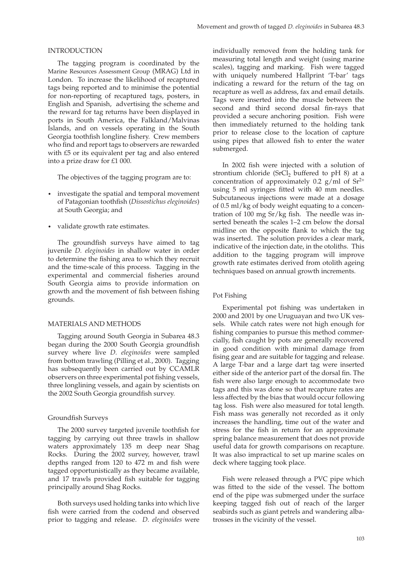#### INTRODUCTION

The tagging program is coordinated by the Marine Resources Assessment Group (MRAG) Ltd in London. To increase the likelihood of recaptured tags being reported and to minimise the potential for non-reporting of recaptured tags, posters, in English and Spanish, advertising the scheme and the reward for tag returns have been displayed in ports in South America, the Falkland/Malvinas Islands, and on vessels operating in the South Georgia toothfish longline fishery. Crew members who find and report tags to observers are rewarded with £5 or its equivalent per tag and also entered into a prize draw for £1 000.

The objectives of the tagging program are to:

- investigate the spatial and temporal movement of Patagonian toothfish (*Dissostichus eleginoides*) at South Georgia; and
- validate growth rate estimates.

The groundfish surveys have aimed to tag juvenile *D. eleginoides* in shallow water in order to determine the fishing area to which they recruit and the time-scale of this process. Tagging in the experimental and commercial fisheries around South Georgia aims to provide information on growth and the movement of fish between fishing grounds.

## MATERIALS AND METHODS

Tagging around South Georgia in Subarea 48.3 began during the 2000 South Georgia groundfish survey where live *D. eleginoides* were sampled from bottom trawling (Pilling et al., 2000). Tagging has subsequently been carried out by CCAMLR observers on three experimental pot fishing vessels, three longlining vessels, and again by scientists on the 2002 South Georgia groundfish survey.

#### Groundfish Surveys

The 2000 survey targeted juvenile toothfish for tagging by carrying out three trawls in shallow waters approximately 135 m deep near Shag Rocks. During the 2002 survey, however, trawl depths ranged from  $120$  to  $472$  m and fish were tagged opportunistically as they became available, and 17 trawls provided fish suitable for tagging principally around Shag Rocks.

Both surveys used holding tanks into which live fish were carried from the codend and observed prior to tagging and release. *D. eleginoides* were individually removed from the holding tank for measuring total length and weight (using marine scales), tagging and marking. Fish were tagged with uniquely numbered Hallprint 'T-bar' tags indicating a reward for the return of the tag on recapture as well as address, fax and email details. Tags were inserted into the muscle between the second and third second dorsal fin-rays that provided a secure anchoring position. Fish were then immediately returned to the holding tank prior to release close to the location of capture using pipes that allowed fish to enter the water submerged.

In 2002 fish were injected with a solution of strontium chloride (SrCl<sub>2</sub> buffered to pH 8) at a concentration of approximately 0.2  $g/ml$  of  $Sr^{2+}$ using 5 ml syringes fitted with 40 mm needles. Subcutaneous injections were made at a dosage of 0.5 ml/kg of body weight equating to a concentration of 100 mg  $Sr/kg$  fish. The needle was inserted beneath the scales 1–2 cm below the dorsal midline on the opposite flank to which the tag was inserted. The solution provides a clear mark, indicative of the injection date, in the otoliths. This addition to the tagging program will improve growth rate estimates derived from otolith ageing techniques based on annual growth increments.

#### Pot Fishing

Experimental pot fishing was undertaken in 2000 and 2001 by one Uruguayan and two UK vessels. While catch rates were not high enough for fishing companies to pursue this method commercially, fish caught by pots are generally recovered in good condition with minimal damage from fising gear and are suitable for tagging and release. A large T-bar and a large dart tag were inserted either side of the anterior part of the dorsal fin. The fish were also large enough to accommodate two tags and this was done so that recapture rates are less affected by the bias that would occur following tag loss. Fish were also measured for total length. Fish mass was generally not recorded as it only increases the handling, time out of the water and stress for the fish in return for an approximate spring balance measurement that does not provide useful data for growth comparisons on recapture. It was also impractical to set up marine scales on deck where tagging took place.

Fish were released through a PVC pipe which was fitted to the side of the vessel. The bottom end of the pipe was submerged under the surface keeping tagged fish out of reach of the larger seabirds such as giant petrels and wandering albatrosses in the vicinity of the vessel.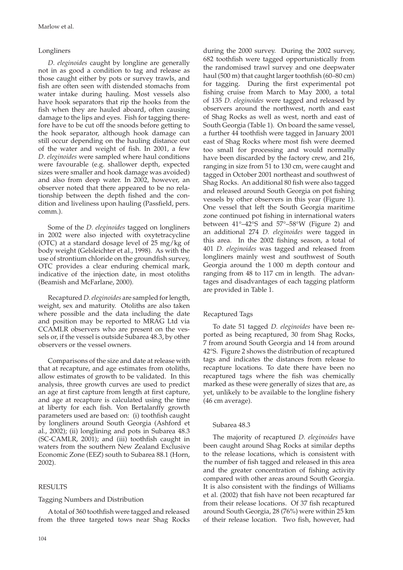## Longliners

*D. eleginoides* caught by longline are generally not in as good a condition to tag and release as those caught either by pots or survey trawls, and fish are often seen with distended stomachs from water intake during hauling. Most vessels also have hook separators that rip the hooks from the fish when they are hauled aboard, often causing damage to the lips and eyes. Fish for tagging there fore have to be cut off the snoods before getting to the hook separator, although hook damage can still occur depending on the hauling distance out of the water and weight of fish. In 2001, a few *D. eleginoides* were sampled where haul conditions were favourable (e.g. shallower depth, expected sizes were smaller and hook damage was avoided) and also from deep water. In 2002, however, an observer noted that there appeared to be no relationship between the depth fished and the condition and liveliness upon hauling (Passfield, pers. comm.).

Some of the *D. eleginoides* tagged on longliners in 2002 were also injected with oxytetracycline (OTC) at a standard dosage level of 25 mg/kg of body weight (Gelsleichter et al., 1998). As with the use of strontium chloride on the groundfish survey, OTC provides a clear enduring chemical mark, indicative of the injection date, in most otoliths (Beamish and McFarlane, 2000).

Recaptured *D. eleginoides* are sampled for length, weight, sex and maturity. Otoliths are also taken where possible and the data including the date and position may be reported to MRAG Ltd via CCAMLR observers who are present on the vessels or, if the vessel is outside Subarea 48.3, by other observers or the vessel owners.

Comparisons of the size and date at release with that at recapture, and age estimates from otoliths, allow estimates of growth to be validated. In this analysis, three growth curves are used to predict an age at first capture from length at first capture, and age at recapture is calculated using the time at liberty for each fish. Von Bertalanffy growth parameters used are based on: (i) toothfish caught by longliners around South Georgia (Ashford et al., 2002); (ii) longlining and pots in Subarea 48.3  $(SC-CAMLR, 2001)$ ; and  $(iii)$  toothfish caught in waters from the southern New Zealand Exclusive Economic Zone (EEZ) south to Subarea 88.1 (Horn, 2002).

## RESULTS

### Tagging Numbers and Distribution

A total of 360 toothfish were tagged and released from the three targeted tows near Shag Rocks

during the 2000 survey. During the 2002 survey, 682 toothfish were tagged opportunistically from the randomised trawl survey and one deepwater haul (500 m) that caught larger toothfish (60–80 cm) for tagging. During the first experimental pot fishing cruise from March to May 2000, a total of 135 *D. eleginoides* were tagged and released by observers around the northwest, north and east of Shag Rocks as well as west, north and east of South Georgia (Table 1). On board the same vessel, a further 44 toothfish were tagged in January 2001 east of Shag Rocks where most fish were deemed too small for processing and would normally have been discarded by the factory crew, and 216, ranging in size from 51 to 130 cm, were caught and tagged in October 2001 northeast and southwest of Shag Rocks. An additional 80 fish were also tagged and released around South Georgia on pot fishing vessels by other observers in this year (Figure 1). One vessel that left the South Georgia maritime zone continued pot fishing in international waters between 41°–42°S and 57°–58°W (Figure 2) and an additional 274 *D. eleginoides* were tagged in this area. In the 2002 fishing season, a total of 401 *D. eleginoides* was tagged and released from longliners mainly west and southwest of South Georgia around the 1 000 m depth contour and ranging from 48 to 117 cm in length. The advantages and disadvantages of each tagging platform are provided in Table 1.

## Recaptured Tags

To date 51 tagged *D. eleginoides* have been reported as being recaptured, 30 from Shag Rocks, 7 from around South Georgia and 14 from around 42°S. Figure 2 shows the distribution of recaptured tags and indicates the distances from release to recapture locations. To date there have been no recaptured tags where the fish was chemically marked as these were generally of sizes that are, as yet, unlikely to be available to the longline fishery (46 cm average).

### Subarea 48.3

The majority of recaptured *D. eleginoides* have been caught around Shag Rocks at similar depths to the release locations, which is consistent with the number of fish tagged and released in this area and the greater concentration of fishing activity compared with other areas around South Georgia. It is also consistent with the findings of Williams et al. (2002) that fish have not been recaptured far from their release locations. Of 37 fish recaptured around South Georgia, 28 (76%) were within 25 km of their release location. Two fish, however, had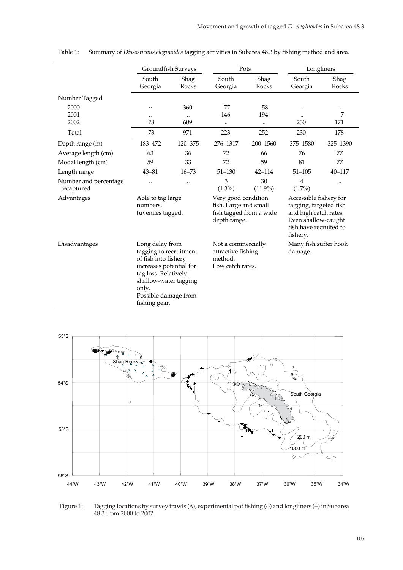|                                     | Groundfish Surveys                                                                                                                                                                              |                         | Pots                                                                                    |                        | Longliners                                                                                                                             |               |
|-------------------------------------|-------------------------------------------------------------------------------------------------------------------------------------------------------------------------------------------------|-------------------------|-----------------------------------------------------------------------------------------|------------------------|----------------------------------------------------------------------------------------------------------------------------------------|---------------|
|                                     | South<br>Georgia                                                                                                                                                                                | Shag<br>Rocks           | South<br>Georgia                                                                        | Shag<br>Rocks          | South<br>Georgia                                                                                                                       | Shag<br>Rocks |
| Number Tagged                       |                                                                                                                                                                                                 |                         |                                                                                         |                        |                                                                                                                                        |               |
| 2000<br>2001<br>2002                | <br>$\ddotsc$<br>73                                                                                                                                                                             | 360<br>$\ddotsc$<br>609 | 77<br>146<br>$\ddot{\phantom{a}}$                                                       | 58<br>194<br>$\ddotsc$ | <br>$\ddotsc$<br>230                                                                                                                   | <br>7<br>171  |
| Total                               | 73                                                                                                                                                                                              | 971                     | 223                                                                                     | 252                    | 230                                                                                                                                    | 178           |
| Depth range (m)                     | 183-472                                                                                                                                                                                         | 120-375                 | 276-1317                                                                                | 200-1560               | 375-1580                                                                                                                               | 325-1390      |
| Average length (cm)                 | 63                                                                                                                                                                                              | 36                      | 72                                                                                      | 66                     | 76                                                                                                                                     | 77            |
| Modal length (cm)                   | 59                                                                                                                                                                                              | 33                      | 72                                                                                      | 59                     | 81                                                                                                                                     | 77            |
| Length range                        | $43 - 81$                                                                                                                                                                                       | $16 - 73$               | $51 - 130$                                                                              | $42 - 114$             | $51 - 105$                                                                                                                             | $40 - 117$    |
| Number and percentage<br>recaptured |                                                                                                                                                                                                 |                         | 3<br>$(1.3\%)$                                                                          | 30<br>$(11.9\%)$       | 4<br>$(1.7\%)$                                                                                                                         |               |
| Advantages                          | Able to tag large<br>numbers.<br>Juveniles tagged.                                                                                                                                              |                         | Very good condition<br>fish. Large and small<br>fish tagged from a wide<br>depth range. |                        | Accessible fishery for<br>tagging, targeted fish<br>and high catch rates.<br>Even shallow-caught<br>fish have recruited to<br>fishery. |               |
| Disadvantages                       | Long delay from<br>tagging to recruitment<br>of fish into fishery<br>increases potential for<br>tag loss. Relatively<br>shallow-water tagging<br>only.<br>Possible damage from<br>fishing gear. |                         | Not a commercially<br>attractive fishing<br>method.<br>Low catch rates.                 |                        | Many fish suffer hook<br>damage.                                                                                                       |               |

Table 1: Summary of *Dissostichus eleginoides* tagging activities in Subarea 48.3 by fishing method and area.



Figure 1: Tagging locations by survey trawls (Δ), experimental pot fi shing (ο) and longliners (+) in Subarea 48.3 from 2000 to 2002.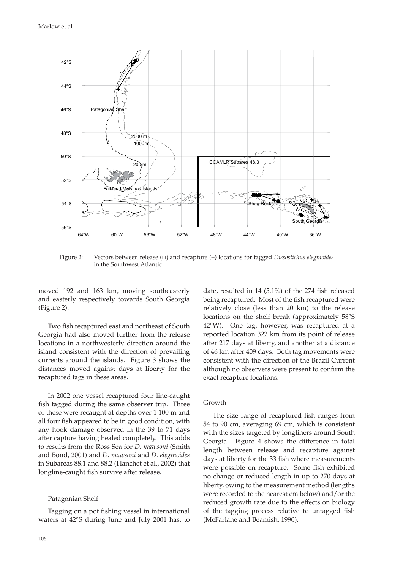

Figure 2: Vectors between release (□) and recapture (+) locations for tagged *Dissostichus eleginoides*  in the Southwest Atlantic.

moved 192 and 163 km, moving southeasterly and easterly respectively towards South Georgia (Figure 2).

Two fish recaptured east and northeast of South Georgia had also moved further from the release locations in a northwesterly direction around the island consistent with the direction of prevailing currents around the islands. Figure 3 shows the distances moved against days at liberty for the recaptured tags in these areas.

In 2002 one vessel recaptured four line-caught fish tagged during the same observer trip. Three of these were recaught at depths over 1 100 m and all four fish appeared to be in good condition, with any hook damage observed in the 39 to 71 days after capture having healed completely. This adds to results from the Ross Sea for *D. mawsoni* (Smith and Bond, 2001) and *D. mawsoni* and *D. eleginoides* in Subareas 88.1 and 88.2 (Hanchet et al., 2002) that longline-caught fish survive after release.

#### Patagonian Shelf

Tagging on a pot fishing vessel in international waters at 42°S during June and July 2001 has, to

106

date, resulted in 14  $(5.1\%)$  of the 274 fish released being recaptured. Most of the fish recaptured were relatively close (less than 20 km) to the release locations on the shelf break (approximately 58°S 42°W). One tag, however, was recaptured at a reported location 322 km from its point of release after 217 days at liberty, and another at a distance of 46 km after 409 days. Both tag movements were consistent with the direction of the Brazil Current although no observers were present to confirm the exact recapture locations.

## Growth

The size range of recaptured fish ranges from 54 to 90 cm, averaging 69 cm, which is consistent with the sizes targeted by longliners around South Georgia. Figure 4 shows the difference in total length between release and recapture against days at liberty for the 33 fish where measurements were possible on recapture. Some fish exhibited no change or reduced length in up to 270 days at liberty, owing to the measurement method (lengths were recorded to the nearest cm below) and/or the reduced growth rate due to the effects on biology of the tagging process relative to untagged fish (McFarlane and Beamish, 1990).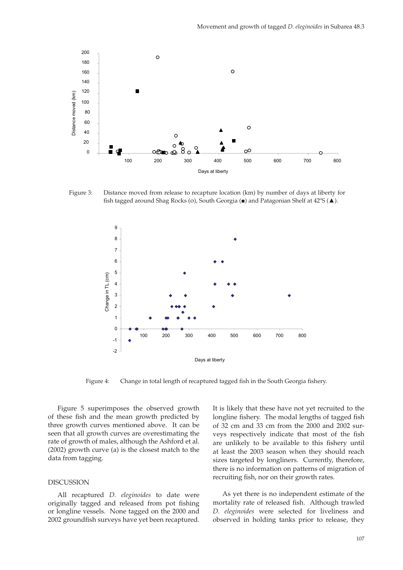

Figure 3: Distance moved from release to recapture location (km) by number of days at liberty for fish tagged around Shag Rocks (o), South Georgia ( $\blacksquare$ ) and Patagonian Shelf at 42°S ( $\blacktriangle$ ).



Figure 4: Change in total length of recaptured tagged fish in the South Georgia fishery.

Figure 5 superimposes the observed growth of these fish and the mean growth predicted by three growth curves mentioned above. It can be seen that all growth curves are overestimating the rate of growth of males, although the Ashford et al. (2002) growth curve (a) is the closest match to the data from tagging.

#### DISCUSSION

All recaptured *D. eleginoides* to date were originally tagged and released from pot fishing or longline vessels. None tagged on the 2000 and 2002 groundfish surveys have yet been recaptured.

It is likely that these have not yet recruited to the longline fishery. The modal lengths of tagged fish of 32 cm and 33 cm from the 2000 and 2002 surveys respectively indicate that most of the fish are unlikely to be available to this fishery until at least the 2003 season when they should reach sizes targeted by longliners. Currently, therefore, there is no information on patterns of migration of recruiting fish, nor on their growth rates.

As yet there is no independent estimate of the mortality rate of released fish. Although trawled *D. eleginoides* were selected for liveliness and observed in holding tanks prior to release, they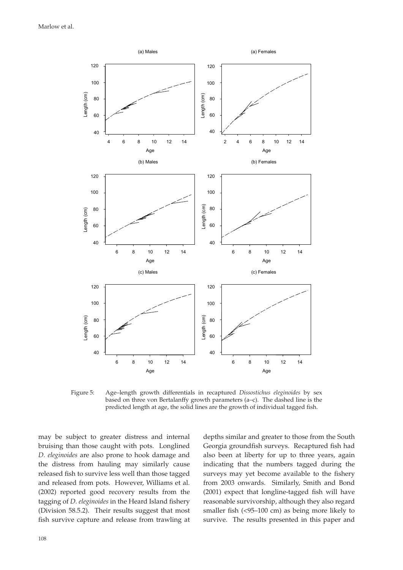

Figure 5: Age–length growth differentials in recaptured *Dissostichus eleginoides* by sex based on three von Bertalanffy growth parameters (a–c). The dashed line is the predicted length at age, the solid lines are the growth of individual tagged fish.

may be subject to greater distress and internal bruising than those caught with pots. Longlined *D. eleginoides* are also prone to hook damage and the distress from hauling may similarly cause released fish to survive less well than those tagged and released from pots. However, Williams et al. (2002) reported good recovery results from the tagging of *D. eleginoides* in the Heard Island fishery (Division 58.5.2). Their results suggest that most fish survive capture and release from trawling at depths similar and greater to those from the South Georgia groundfish surveys. Recaptured fish had also been at liberty for up to three years, again indicating that the numbers tagged during the surveys may yet become available to the fishery from 2003 onwards. Similarly, Smith and Bond (2001) expect that longline-tagged fish will have reasonable survivorship, although they also regard smaller fish  $\left($  <95–100 cm) as being more likely to survive. The results presented in this paper and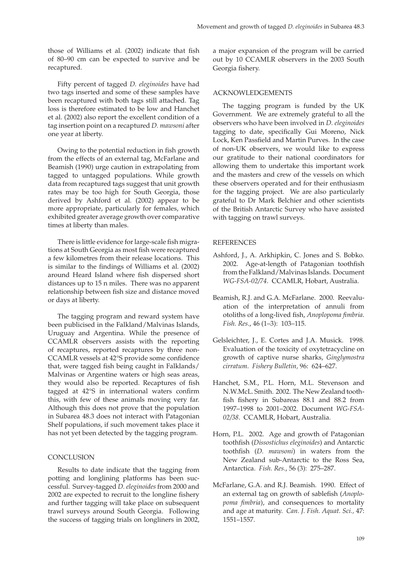those of Williams et al. (2002) indicate that fish of 80–90 cm can be expected to survive and be recaptured.

Fifty percent of tagged *D. eleginoides* have had two tags inserted and some of these samples have been recaptured with both tags still attached. Tag loss is therefore estimated to be low and Hanchet et al. (2002) also report the excellent condition of a tag insertion point on a recaptured *D. mawsoni* after one year at liberty.

Owing to the potential reduction in fish growth from the effects of an external tag, McFarlane and Beamish (1990) urge caution in extrapolating from tagged to untagged populations. While growth data from recaptured tags suggest that unit growth rates may be too high for South Georgia, those derived by Ashford et al. (2002) appear to be more appropriate, particularly for females, which exhibited greater average growth over comparative times at liberty than males.

There is little evidence for large-scale fish migrations at South Georgia as most fish were recaptured a few kilometres from their release locations. This is similar to the findings of Williams et al. (2002) around Heard Island where fish dispersed short distances up to 15 n miles. There was no apparent relationship between fish size and distance moved or days at liberty.

The tagging program and reward system have been publicised in the Falkland/Malvinas Islands, Uruguay and Argentina. While the presence of CCAMLR observers assists with the reporting of recaptures, reported recaptures by three non-CCAMLR vessels at 42°S provide some confidence that, were tagged fish being caught in Falklands/ Malvinas or Argentine waters or high seas areas, they would also be reported. Recaptures of fish tagged at  $42^{\circ}S$  in international waters confirm this, with few of these animals moving very far. Although this does not prove that the population in Subarea 48.3 does not interact with Patagonian Shelf populations, if such movement takes place it has not yet been detected by the tagging program.

## **CONCLUSION**

Results to date indicate that the tagging from potting and longlining platforms has been successful. Survey-tagged *D. eleginoides* from 2000 and 2002 are expected to recruit to the longline fishery and further tagging will take place on subsequent trawl surveys around South Georgia. Following the success of tagging trials on longliners in 2002,

a major expansion of the program will be carried out by 10 CCAMLR observers in the 2003 South Georgia fishery.

## ACKNOWLEDGEMENTS

The tagging program is funded by the UK Government. We are extremely grateful to all the observers who have been involved in *D. eleginoides* tagging to date, specifically Gui Moreno, Nick Lock, Ken Passfield and Martin Purves. In the case of non-UK observers, we would like to express our gratitude to their national coordinators for allowing them to undertake this important work and the masters and crew of the vessels on which these observers operated and for their enthusiasm for the tagging project. We are also particularly grateful to Dr Mark Belchier and other scientists of the British Antarctic Survey who have assisted with tagging on trawl surveys.

## **REFERENCES**

- Ashford, J., A. Arkhipkin, C. Jones and S. Bobko. 2002. Age-at-length of Patagonian toothfish from the Falkland/Malvinas Islands. Document *WG-FSA-02/74*. CCAMLR, Hobart, Australia.
- Beamish, R.J. and G.A. McFarlane. 2000. Reevaluation of the interpretation of annuli from otoliths of a long-lived fish, *Anoplopoma fimbria*. *Fish. Res*., 46 (1–3): 103–115.
- Gelsleichter, J., E. Cortes and J.A. Musick. 1998. Evaluation of the toxicity of oxytetracycline on growth of captive nurse sharks, *Ginglymostra cirratum*. *Fishery Bulletin,* 96: 624–627.
- Hanchet, S.M., P.L. Horn, M.L. Stevenson and N.W.McL. Smith. 2002. The New Zealand toothfish fishery in Subareas 88.1 and 88.2 from 1997–1998 to 2001–2002. Document *WG-FSA-02/38*. CCAMLR, Hobart, Australia.
- Horn, P.L. 2002. Age and growth of Patagonian toothfish (Dissostichus eleginoides) and Antarctic toothfish (*D. mawsoni*) in waters from the New Zealand sub-Antarctic to the Ross Sea, Antarctica. *Fish. Res.*, 56 (3): 275–287.
- McFarlane, G.A. and R.J. Beamish. 1990. Effect of an external tag on growth of sablefish (*Anoplo*poma fimbria), and consequences to mortality and age at maturity. *Can. J. Fish. Aquat. Sci.,* 47: 1551–1557.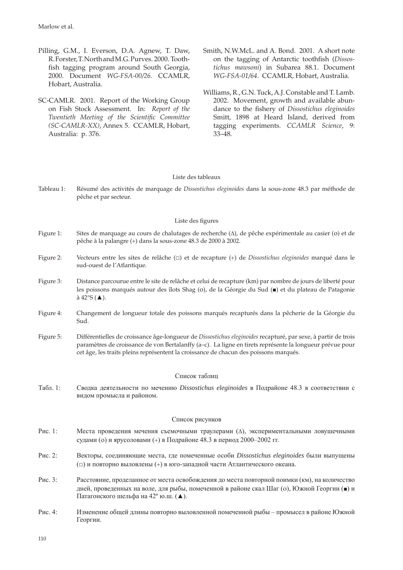- Pilling, G.M., I. Everson, D.A. Agnew, T. Daw, R. Forster, T. North and M.G. Purves. 2000. Toothfish tagging program around South Georgia, 2000. Document *WG-FSA-00/26*. CCAMLR, Hobart, Australia.
- SC-CAMLR. 2001. Report of the Working Group on Fish Stock Assessment. In: *Report of the*  Twentieth Meeting of the Scientific Committee *(SC-CAMLR-XX)*, Annex 5. CCAMLR, Hobart, Australia: p. 376.
- Smith, N.W.McL. and A. Bond. 2001. A short note on the tagging of Antarctic toothfish (*Dissostichus mawsoni*) in Subarea 88.1. Document *WG-FSA-01/64*. CCAMLR, Hobart, Australia.
- Williams, R., G.N. Tuck, A.J. Constable and T. Lamb. 2002. Movement, growth and available abundance to the fishery of *Dissostichus eleginoides* Smitt, 1898 at Heard Island, derived from tagging experiments. *CCAMLR Science*, 9: 33–48.

### Liste des tableaux

Tableau 1: Résumé des activités de marquage de *Dissostichus eleginoides* dans la sous-zone 48.3 par méthode de pêche et par secteur.

## Liste des figures

- Figure 1: Sites de marquage au cours de chalutages de recherche (Δ), de pêche expérimentale au casier (ο) et de pêche à la palangre (+) dans la sous-zone 48.3 de 2000 à 2002.
- Figure 2: Vecteurs entre les sites de relâche (□) et de recapture (+) de *Dissostichus eleginoides* marqué dans le sud-ouest de l'Atlantique.
- Figure 3: Distance parcourue entre le site de relâche et celui de recapture (km) par nombre de jours de liberté pour les poissons marqués autour des îlots Shag (ο), de la Géorgie du Sud (■) et du plateau de Patagonie  $\lambda$  42°S ( $\blacktriangle$ ).
- Figure 4: Changement de longueur totale des poissons marqués recapturés dans la pêcherie de la Géorgie du Sud.
- Figure 5: Différentielles de croissance âge-longueur de *Dissostichus eleginoides* recapturé, par sexe, à partir de trois paramètres de croissance de von Bertalanffy (a–c). La ligne en tirets représente la longueur prévue pour cet âge, les traits pleins représentent la croissance de chacun des poissons marqués.

### Список таблиц

Табл. 1: Сводка деятельности по мечению *Dissostichus eleginoides* в Подрайоне 48.3 в соответствии с видом промысла и районом.

### Список рисунков

- Рис. 1: Места проведения мечения съемочными траулерами (Δ), экспериментальными ловушечными судами (ο) и ярусоловами (+) в Подрайоне 48.3 в период 2000–2002 гг.
- Рис. 2: Векторы, соединяющие места, где помеченные особи *Dissostichus eleginoides* были выпущены (□) и повторно выловлены (+) в юго-западной части Атлантического океана.
- Рис. 3: Расстояние, проделанное от места освобождения до места повторной поимки (км), на количество дней, проведенных на воле, для рыбы, помеченной в районе скал Шаг (ο), Южной Георгии (■) и Патагонского шельфа на 42º ю.ш. (▲).
- Рис. 4: Изменение общей длины повторно выловленной помеченной рыбы промысел в районе Южной Георгии.